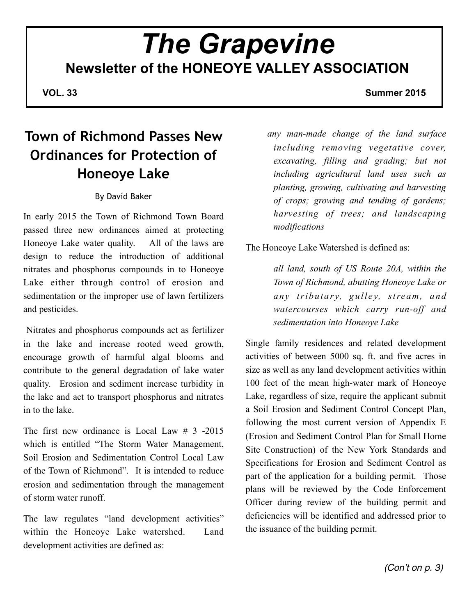# *The Grapevine* **Newsletter of the HONEOYE VALLEY ASSOCIATION**

**VOL. 33** Summer 2015

# **Town of Richmond Passes New Ordinances for Protection of Honeoye Lake**

### By David Baker

In early 2015 the Town of Richmond Town Board passed three new ordinances aimed at protecting Honeoye Lake water quality. All of the laws are design to reduce the introduction of additional nitrates and phosphorus compounds in to Honeoye Lake either through control of erosion and sedimentation or the improper use of lawn fertilizers and pesticides.

 Nitrates and phosphorus compounds act as fertilizer in the lake and increase rooted weed growth, encourage growth of harmful algal blooms and contribute to the general degradation of lake water quality. Erosion and sediment increase turbidity in the lake and act to transport phosphorus and nitrates in to the lake.

The first new ordinance is Local Law  $\#$  3 -2015 which is entitled "The Storm Water Management, Soil Erosion and Sedimentation Control Local Law of the Town of Richmond". It is intended to reduce erosion and sedimentation through the management of storm water runoff.

The law regulates "land development activities" within the Honeoye Lake watershed. Land development activities are defined as:

*any man-made change of the land surface including removing vegetative cover, excavating, filling and grading; but not including agricultural land uses such as planting, growing, cultivating and harvesting of crops; growing and tending of gardens; harvesting of trees; and landscaping modifications*

The Honeoye Lake Watershed is defined as:

*all land, south of US Route 20A, within the Town of Richmond, abutting Honeoye Lake or any tributary, gulley, stream, and watercourses which carry run-off and sedimentation into Honeoye Lake*

Single family residences and related development activities of between 5000 sq. ft. and five acres in size as well as any land development activities within 100 feet of the mean high-water mark of Honeoye Lake, regardless of size, require the applicant submit a Soil Erosion and Sediment Control Concept Plan, following the most current version of Appendix E (Erosion and Sediment Control Plan for Small Home Site Construction) of the New York Standards and Specifications for Erosion and Sediment Control as part of the application for a building permit. Those plans will be reviewed by the Code Enforcement Officer during review of the building permit and deficiencies will be identified and addressed prior to the issuance of the building permit.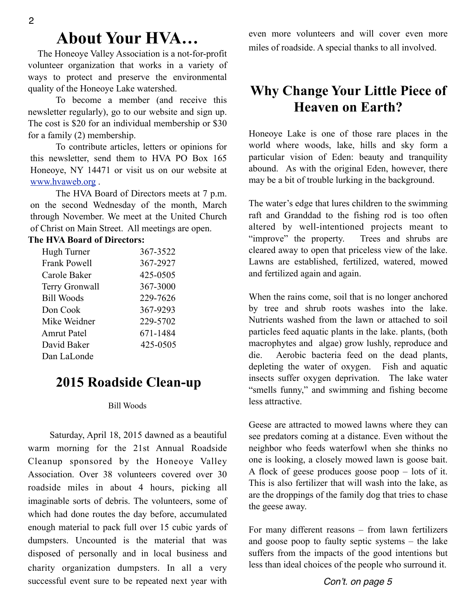# **About Your HVA…**

 The Honeoye Valley Association is a not-for-profit volunteer organization that works in a variety of ways to protect and preserve the environmental quality of the Honeoye Lake watershed.

 To become a member (and receive this newsletter regularly), go to our website and sign up. The cost is \$20 for an individual membership or \$30 for a family (2) membership.

 To contribute articles, letters or opinions for this newsletter, send them to HVA PO Box 165 Honeoye, NY 14471 or visit us on our website at [www.hvaweb.or](http://www.hvaweb.org)g .

 The HVA Board of Directors meets at 7 p.m. on the second Wednesday of the month, March through November. We meet at the United Church of Christ on Main Street. All meetings are open.

### **The HVA Board of Directors:**

| Hugh Turner         | 367-3522 |
|---------------------|----------|
| <b>Frank Powell</b> | 367-2927 |
| Carole Baker        | 425-0505 |
| Terry Gronwall      | 367-3000 |
| <b>Bill Woods</b>   | 229-7626 |
| Don Cook            | 367-9293 |
| Mike Weidner        | 229-5702 |
| <b>Amrut Patel</b>  | 671-1484 |
| David Baker         | 425-0505 |
| Dan LaLonde         |          |

### **2015 Roadside Clean-up**

#### Bill Woods

 Saturday, April 18, 2015 dawned as a beautiful warm morning for the 21st Annual Roadside Cleanup sponsored by the Honeoye Valley Association. Over 38 volunteers covered over 30 roadside miles in about 4 hours, picking all imaginable sorts of debris. The volunteers, some of which had done routes the day before, accumulated enough material to pack full over 15 cubic yards of dumpsters. Uncounted is the material that was disposed of personally and in local business and charity organization dumpsters. In all a very successful event sure to be repeated next year with even more volunteers and will cover even more miles of roadside. A special thanks to all involved.

## **Why Change Your Little Piece of Heaven on Earth?**

Honeoye Lake is one of those rare places in the world where woods, lake, hills and sky form a particular vision of Eden: beauty and tranquility abound. As with the original Eden, however, there may be a bit of trouble lurking in the background.

The water's edge that lures children to the swimming raft and Granddad to the fishing rod is too often altered by well-intentioned projects meant to "improve" the property. Trees and shrubs are cleared away to open that priceless view of the lake. Lawns are established, fertilized, watered, mowed and fertilized again and again.

When the rains come, soil that is no longer anchored by tree and shrub roots washes into the lake. Nutrients washed from the lawn or attached to soil particles feed aquatic plants in the lake. plants, (both macrophytes and algae) grow lushly, reproduce and die. Aerobic bacteria feed on the dead plants, depleting the water of oxygen. Fish and aquatic insects suffer oxygen deprivation. The lake water "smells funny," and swimming and fishing become less attractive.

Geese are attracted to mowed lawns where they can see predators coming at a distance. Even without the neighbor who feeds waterfowl when she thinks no one is looking, a closely mowed lawn is goose bait. A flock of geese produces goose poop – lots of it. This is also fertilizer that will wash into the lake, as are the droppings of the family dog that tries to chase the geese away.

For many different reasons – from lawn fertilizers and goose poop to faulty septic systems – the lake suffers from the impacts of the good intentions but less than ideal choices of the people who surround it.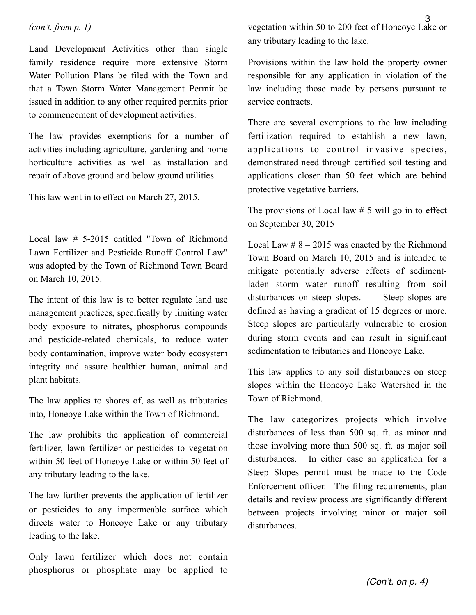Land Development Activities other than single family residence require more extensive Storm Water Pollution Plans be filed with the Town and that a Town Storm Water Management Permit be issued in addition to any other required permits prior to commencement of development activities.

The law provides exemptions for a number of activities including agriculture, gardening and home horticulture activities as well as installation and repair of above ground and below ground utilities.

This law went in to effect on March 27, 2015.

Local law # 5-2015 entitled "Town of Richmond Lawn Fertilizer and Pesticide Runoff Control Law" was adopted by the Town of Richmond Town Board on March 10, 2015.

The intent of this law is to better regulate land use management practices, specifically by limiting water body exposure to nitrates, phosphorus compounds and pesticide-related chemicals, to reduce water body contamination, improve water body ecosystem integrity and assure healthier human, animal and plant habitats.

The law applies to shores of, as well as tributaries into, Honeoye Lake within the Town of Richmond.

The law prohibits the application of commercial fertilizer, lawn fertilizer or pesticides to vegetation within 50 feet of Honeoye Lake or within 50 feet of any tributary leading to the lake.

The law further prevents the application of fertilizer or pesticides to any impermeable surface which directs water to Honeoye Lake or any tributary leading to the lake.

Only lawn fertilizer which does not contain phosphorus or phosphate may be applied to

vegetation within 50 to 200 feet of Honeoye Lake or any tributary leading to the lake.

Provisions within the law hold the property owner responsible for any application in violation of the law including those made by persons pursuant to service contracts.

There are several exemptions to the law including fertilization required to establish a new lawn, applications to control invasive species, demonstrated need through certified soil testing and applications closer than 50 feet which are behind protective vegetative barriers.

The provisions of Local law  $# 5$  will go in to effect on September 30, 2015

Local Law  $\# 8 - 2015$  was enacted by the Richmond Town Board on March 10, 2015 and is intended to mitigate potentially adverse effects of sedimentladen storm water runoff resulting from soil disturbances on steep slopes. Steep slopes are defined as having a gradient of 15 degrees or more. Steep slopes are particularly vulnerable to erosion during storm events and can result in significant sedimentation to tributaries and Honeoye Lake.

This law applies to any soil disturbances on steep slopes within the Honeoye Lake Watershed in the Town of Richmond.

The law categorizes projects which involve disturbances of less than 500 sq. ft. as minor and those involving more than 500 sq. ft. as major soil disturbances. In either case an application for a Steep Slopes permit must be made to the Code Enforcement officer. The filing requirements, plan details and review process are significantly different between projects involving minor or major soil disturbances.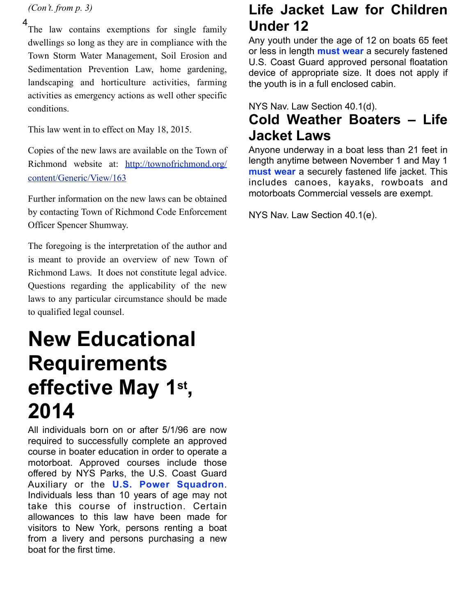*(Con't. from p. 3)*

4

The law contains exemptions for single family dwellings so long as they are in compliance with the Town Storm Water Management, Soil Erosion and Sedimentation Prevention Law, home gardening, landscaping and horticulture activities, farming activities as emergency actions as well other specific conditions.

This law went in to effect on May 18, 2015.

Copies of the new laws are available on the Town of Richmond website at: [http://townofrichmond.org/](http://townofrichmond.org/content/Generic/View/163) [content/Generic/View/163](http://townofrichmond.org/content/Generic/View/163)

Further information on the new laws can be obtained by contacting Town of Richmond Code Enforcement Officer Spencer Shumway.

The foregoing is the interpretation of the author and is meant to provide an overview of new Town of Richmond Laws. It does not constitute legal advice. Questions regarding the applicability of the new laws to any particular circumstance should be made to qualified legal counsel.

# **New Educational Requirements effective May 1st , 2014**

All individuals born on or after 5/1/96 are now required to successfully complete an approved course in boater education in order to operate a motorboat. Approved courses include those offered by NYS Parks, the U.S. Coast Guard Auxiliary or the **U.S. Power Squadron**. Individuals less than 10 years of age may not take this course of instruction. Certain allowances to this law have been made for visitors to New York, persons renting a boat from a livery and persons purchasing a new boat for the first time.

# **Life Jacket Law for Children Under 12**

Any youth under the age of 12 on boats 65 feet or less in length **must wear** a securely fastened U.S. Coast Guard approved personal floatation device of appropriate size. It does not apply if the youth is in a full enclosed cabin.

NYS Nav. Law Section 40.1(d).

# **Cold Weather Boaters – Life Jacket Laws**

Anyone underway in a boat less than 21 feet in length anytime between November 1 and May 1 **must wear** a securely fastened life jacket. This includes canoes, kayaks, rowboats and motorboats Commercial vessels are exempt.

NYS Nav. Law Section 40.1(e).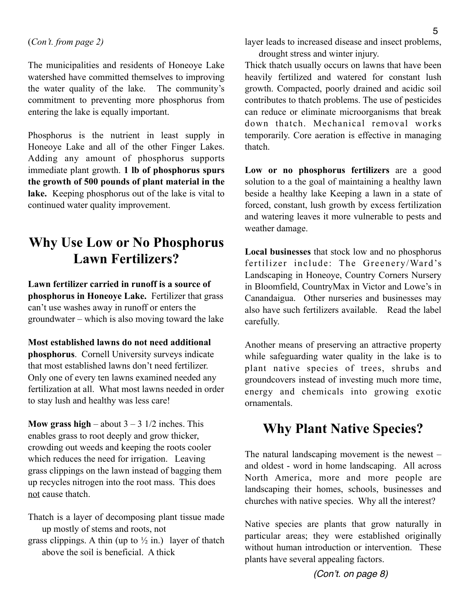The municipalities and residents of Honeoye Lake watershed have committed themselves to improving the water quality of the lake. The community's commitment to preventing more phosphorus from entering the lake is equally important.

Phosphorus is the nutrient in least supply in Honeoye Lake and all of the other Finger Lakes. Adding any amount of phosphorus supports immediate plant growth. **1 lb of phosphorus spurs the growth of 500 pounds of plant material in the**  lake. Keeping phosphorus out of the lake is vital to continued water quality improvement.

## **Why Use Low or No Phosphorus Lawn Fertilizers?**

**Lawn fertilizer carried in runoff is a source of phosphorus in Honeoye Lake.** Fertilizer that grass can't use washes away in runoff or enters the groundwater – which is also moving toward the lake

**Most established lawns do not need additional phosphorus**. Cornell University surveys indicate that most established lawns don't need fertilizer. Only one of every ten lawns examined needed any fertilization at all. What most lawns needed in order to stay lush and healthy was less care!

**Mow grass high** – about  $3 - 3$  1/2 inches. This enables grass to root deeply and grow thicker, crowding out weeds and keeping the roots cooler which reduces the need for irrigation. Leaving grass clippings on the lawn instead of bagging them up recycles nitrogen into the root mass. This does not cause thatch.

Thatch is a layer of decomposing plant tissue made up mostly of stems and roots, not

grass clippings. A thin (up to  $\frac{1}{2}$  in.) layer of thatch above the soil is beneficial. A thick

layer leads to increased disease and insect problems, drought stress and winter injury.

Thick thatch usually occurs on lawns that have been heavily fertilized and watered for constant lush growth. Compacted, poorly drained and acidic soil contributes to thatch problems. The use of pesticides can reduce or eliminate microorganisms that break down thatch. Mechanical removal works temporarily. Core aeration is effective in managing thatch.

**Low or no phosphorus fertilizers** are a good solution to a the goal of maintaining a healthy lawn beside a healthy lake Keeping a lawn in a state of forced, constant, lush growth by excess fertilization and watering leaves it more vulnerable to pests and weather damage.

**Local businesses** that stock low and no phosphorus fertilizer include: The Greenery/Ward's Landscaping in Honeoye, Country Corners Nursery in Bloomfield, CountryMax in Victor and Lowe's in Canandaigua. Other nurseries and businesses may also have such fertilizers available. Read the label carefully.

Another means of preserving an attractive property while safeguarding water quality in the lake is to plant native species of trees, shrubs and groundcovers instead of investing much more time, energy and chemicals into growing exotic ornamentals.

## **Why Plant Native Species?**

The natural landscaping movement is the newest – and oldest - word in home landscaping. All across North America, more and more people are landscaping their homes, schools, businesses and churches with native species. Why all the interest?

Native species are plants that grow naturally in particular areas; they were established originally without human introduction or intervention. These plants have several appealing factors.

*(Con't. on page 8)*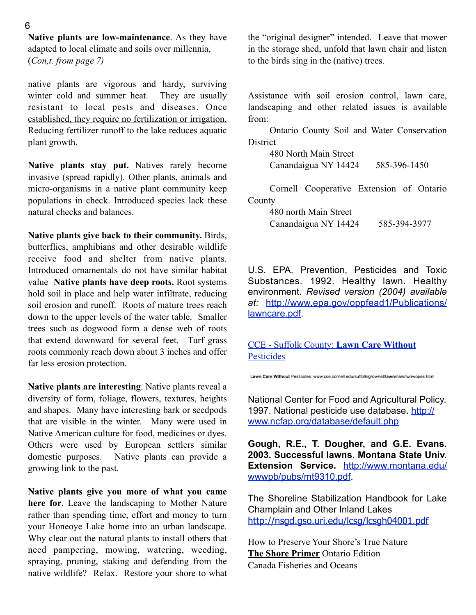**Native plants are low-maintenance**. As they have adapted to local climate and soils over millennia, (*Con,t. from page 7)*

native plants are vigorous and hardy, surviving winter cold and summer heat. They are usually resistant to local pests and diseases. Once established, they require no fertilization or irrigation. Reducing fertilizer runoff to the lake reduces aquatic plant growth.

**Native plants stay put.** Natives rarely become invasive (spread rapidly). Other plants, animals and micro-organisms in a native plant community keep populations in check. Introduced species lack these natural checks and balances.

**Native plants give back to their community.** Birds, butterflies, amphibians and other desirable wildlife receive food and shelter from native plants. Introduced ornamentals do not have similar habitat value **Native plants have deep roots.** Root systems hold soil in place and help water infiltrate, reducing soil erosion and runoff. Roots of mature trees reach down to the upper levels of the water table. Smaller trees such as dogwood form a dense web of roots that extend downward for several feet. Turf grass roots commonly reach down about 3 inches and offer far less erosion protection.

**Native plants are interesting**. Native plants reveal a diversity of form, foliage, flowers, textures, heights and shapes. Many have interesting bark or seedpods that are visible in the winter. Many were used in Native American culture for food, medicines or dyes. Others were used by European settlers similar domestic purposes. Native plants can provide a growing link to the past.

**Native plants give you more of what you came here for**. Leave the landscaping to Mother Nature rather than spending time, effort and money to turn your Honeoye Lake home into an urban landscape. Why clear out the natural plants to install others that need pampering, mowing, watering, weeding, spraying, pruning, staking and defending from the native wildlife? Relax. Restore your shore to what

the "original designer" intended. Leave that mower in the storage shed, unfold that lawn chair and listen to the birds sing in the (native) trees.

Assistance with soil erosion control, lawn care, landscaping and other related issues is available from:

 Ontario County Soil and Water Conservation **District** 

> 480 North Main Street Canandaigua NY 14424 585-396-1450

 Cornell Cooperative Extension of Ontario County

> 480 north Main Street Canandaigua NY 14424 585-394-3977

U.S. EPA. Prevention, Pesticides and Toxic Substances. 1992. Healthy lawn. Healthy environment. *Revised version (2004) available at:* [http://www.epa.gov/oppfead1/Publications/](http://www.epa.gov/oppfead1/publications/lawncare.pdf) [lawncare.pdf.](http://www.epa.gov/oppfead1/publications/lawncare.pdf)

[CCE - Suffolk County:](http://www.cce.cornell.edu/suffolk/grownet/lawnmain/lwnwopes.html) **Lawn Care Without [Pesticides](http://www.cce.cornell.edu/suffolk/grownet/lawnmain/lwnwopes.html)** 

Lawn Care Without Pesticides. www.cce.cornell.edu/suffolk/grownet/lawnmain/lwnwopes.html

National Center for Food and Agricultural Policy. 1997. National pesticide use database. [http://](http://www.ncfap.org/database/default.php) [www.ncfap.org/database/default.php](http://www.ncfap.org/database/default.php)

**Gough, R.E., T. Dougher, and G.E. Evans. 2003. Successful lawns. Montana State Univ. Extension Service.** [http://www.montana.edu/](http://www.montana.edu/wwwpb/pubs/mt9310.pdf) [wwwpb/pubs/mt9310.pdf.](http://www.montana.edu/wwwpb/pubs/mt9310.pdf)

The Shoreline Stabilization Handbook for Lake Champlain and Other Inland Lakes <http://nsgd.gso.uri.edu/lcsg/lcsgh04001.pdf>

How to Preserve Your Shore's True Nature **The Shore Primer** Ontario Edition Canada Fisheries and Oceans

#### 6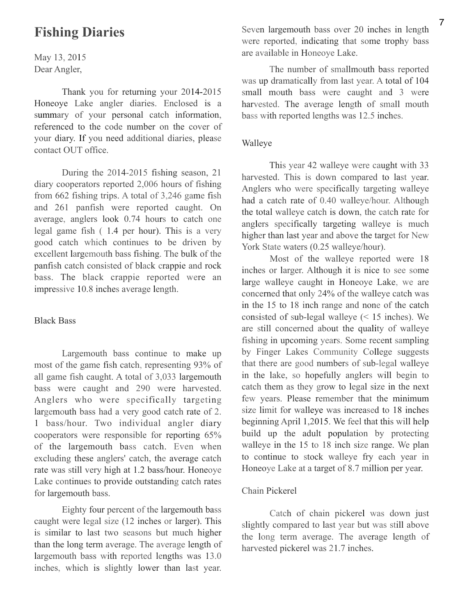### **Fishing Diaries**

May 13, 2015 Dear Angler,

Thank you for returning your 2014-2015 Honeoye Lake angler diaries. Enclosed is a summary of your personal catch information, referenced to the code number on the cover of your diary. If you need additional diaries, please contact OUT office.

During the 2014-2015 fishing season, 21 diary cooperators reported 2,006 hours of fishing from 662 fishing trips. A total of 3,246 game fish and 261 panfish were reported caught. On average, anglers look 0.74 hours to catch one legal game fish ( 1.4 per hour). This is a very good catch which continues to be driven by excellent largemouth bass fishing. The bulk of the panfish catch consisted of black crappie and rock bass. The black crappie reported were an impressive 10.8 inches average length.

### Black Bass

Largemouth bass continue to make up most of the game fish catch, representing 93% of all game fish caught. A total of 3,033 largemouth bass were caught and 290 were harvested. Anglers who were specifically targeting largemouth bass had a very good catch rate of 2. 1 bass/hour. Two individual angler diary cooperators were responsible for reporting 65% of the largemouth bass catch. Even when excluding these anglers' catch, the average catch rate was still very high at 1.2 bass/hour. Honeoye Lake continues to provide outstanding catch rates for largemouth bass.

Eighty four percent of the largemouth bass caught were legal size (12 inches or larger). This is similar to last two seasons but much higher than the long term average. The average length of largemouth bass with reported lengths was 13.0 inches, which is slightly lower than last year.

Seven largemouth bass over 20 inches in length were reported, indicating that some trophy bass are available in Honeoye Lake.

The number of smallmouth bass reported was up dramatically from last year. A total of 104 small mouth bass were caught and 3 were harvested. The average length of small mouth bass with reported lengths was 12.5 inches.

#### Walleye

This year 42 walleye were caught with 33 harvested. This is down compared to last year. Anglers who were specifically targeting walleye had a catch rate of 0.40 walleye/hour. Although the total walleye catch is down, the catch rate for anglers specifically targeting walleye is much higher than last year and above the target for New York State waters (0.25 walleye/hour).

Most of the walleye reported were 18 inches or larger. Although it is nice to see some large walleye caught in Honeoye Lake, we are concerned that only 24% of the walleye catch was in the 15 to 18 inch range and none of the catch consisted of sub-legal walleye (< 15 inches). We are still concerned about the quality of walleye fishing in upcoming years. Some recent sampling by Finger Lakes Community College suggests that there are good numbers of sub-legal walleye in the lake, so hopefully anglers will begin to catch them as they grow to legal size in the next few years. Please remember that the minimum size limit for walleye was increased to 18 inches beginning April 1,2015. We feel that this will help build up the adult population by protecting walleye in the 15 to 18 inch size range. We plan to continue to stock walleye fry each year in Honeoye Lake at a target of 8.7 million per year.

#### Chain Pickerel

Catch of chain pickerel was down just slightly compared to last year but was still above the long term average. The average length of harvested pickerel was 21.7 inches.